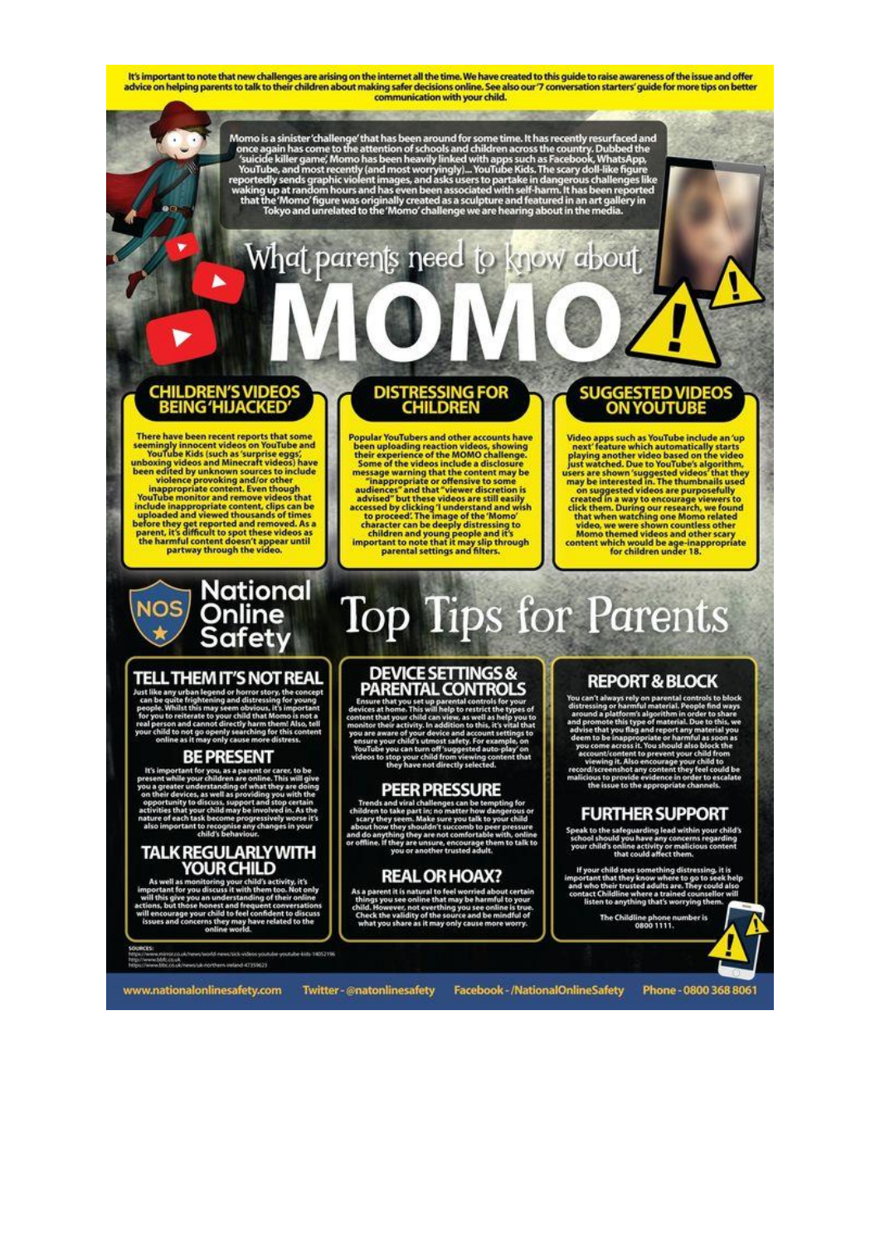It's important to note that new challenges are arising on the internet all the time. We have created to this quide to raise awareness of the issue and offer advice on helping parents to talk to their children about making safer decisions online. See also our 7 conversation starters' guide for more tips on better communication with your child.

Momo is a sinister 'challenge' that has been around for some time. It has recently resurfaced and once again has come to the attention of schools and children across the country. Dubbed the 'suicide killer game', Momo has

# What parents need to know about

# **CHILDREN'S VIDEOS<br>BEING 'HIJACKED'**

There have been recent reports that some seemingly innocent videos on YouTube and YouTube Kids (such as 'surprise eggs), have unboxing videos and Minncraft videos) have been edited by unknown sources to include videore pr

# **DISTRESSING FOR**<br>CHILDREN

Popular YouTubers and other accounts have been uploading reaction videos, showing their experience of the MOMO challenge. Some of the videos include a disclosure "inappropriate or density and that "viewer discussion" advi **Popular YouTubers and other accounts have** 

### **SUGGESTED VIDEOS ON YOUTUBE**

Video apps such as YouTube include an 'up<br>next' feature which automatically starts<br>playing another video based on the video<br>just watched. Due to YouTube's algorithm,<br>users are shown 'suggested videos' that they<br>may be int

National<br>Online **NOS** Safety

### TELL THEM IT'S NOT REAL

### **BE PRESENT**

lt's i

#### **TALK REGULARLY WITH** YOUR CHILD

ig your child's activ<br>iss it with them to an<br>Milit

shik conthern indend 47359623

**Top Tips for Parents DEVICE SETTINGS &<br>PARENTAL CONTROLS** 

### **PEER PRESSURE**

### **REAL OR HOAX?**

e it is e atural to feel ö thare as it may

### **REPORT & BLOCK**

rys rely on parent.

### **FURTHER SUPPORT**

g lead wil

The Childl ine phone n<br>0800 1111.

www.nationalonlinesafety.com

Twitter-@natonlinesafety

Facebook - / National Online Safety

Phone - 0800 368 8061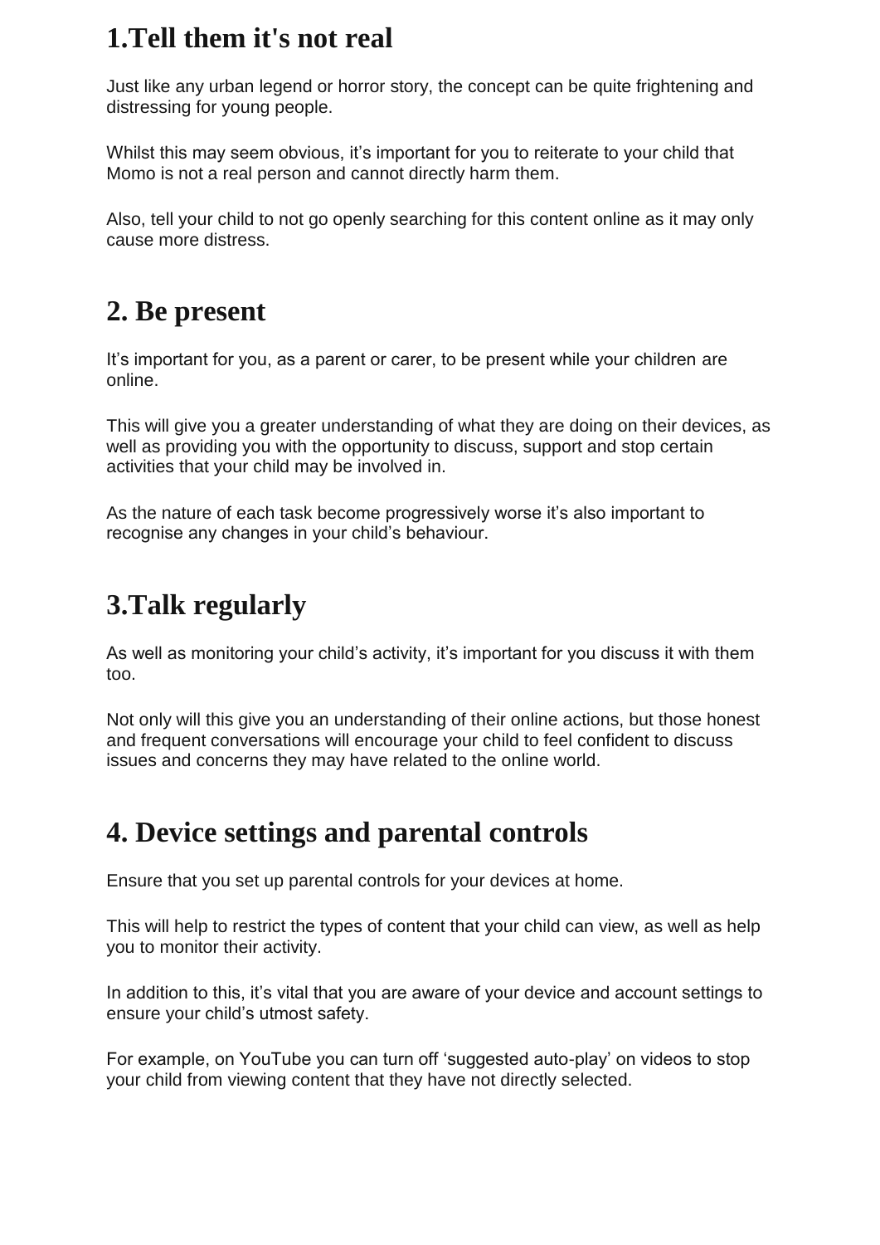## **1.Tell them it's not real**

Just like any urban legend or horror story, the concept can be quite frightening and distressing for young people.

Whilst this may seem obvious, it's important for you to reiterate to your child that Momo is not a real person and cannot directly harm them.

Also, tell your child to not go openly searching for this content online as it may only cause more distress.

# **2. Be present**

It's important for you, as a parent or carer, to be present while your children are online.

This will give you a greater understanding of what they are doing on their devices, as well as providing you with the opportunity to discuss, support and stop certain activities that your child may be involved in.

As the nature of each task become progressively worse it's also important to recognise any changes in your child's behaviour.

# **3.Talk regularly**

As well as monitoring your child's activity, it's important for you discuss it with them too.

Not only will this give you an understanding of their online actions, but those honest and frequent conversations will encourage your child to feel confident to discuss issues and concerns they may have related to the online world.

# **4. Device settings and parental controls**

Ensure that you set up parental controls for your devices at home.

This will help to restrict the types of content that your child can view, as well as help you to monitor their activity.

In addition to this, it's vital that you are aware of your device and account settings to ensure your child's utmost safety.

For example, on YouTube you can turn off 'suggested auto-play' on videos to stop your child from viewing content that they have not directly selected.